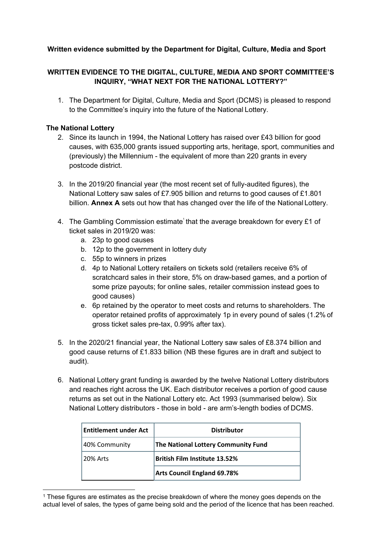# **Written evidence submitted by the Department for Digital, Culture, Media and Sport**

# **WRITTEN EVIDENCE TO THE DIGITAL, CULTURE, MEDIA AND SPORT COMMITTEE'S INQUIRY, "WHAT NEXT FOR THE NATIONAL LOTTERY?"**

1. The Department for Digital, Culture, Media and Sport (DCMS) is pleased to respond to the Committee's inquiry into the future of the National Lottery.

## **The National Lottery**

- 2. Since its launch in 1994, the National Lottery has raised over £43 billion for good causes, with 635,000 grants issued supporting arts, heritage, sport, communities and (previously) the Millennium - the equivalent of more than 220 grants in every postcode district.
- 3. In the 2019/20 financial year (the most recent set of fully-audited figures), the National Lottery saw sales of £7.905 billion and returns to good causes of £1.801 billion. **Annex A** sets out how that has changed over the life of the National Lottery.
- 4. The Gambling Commission estimate that the average breakdown for every £1 of ticket sales in 2019/20 was:
	- a. 23p to good causes
	- b. 12p to the government in lottery duty
	- c. 55p to winners in prizes
	- d. 4p to National Lottery retailers on tickets sold (retailers receive 6% of scratchcard sales in their store, 5% on draw-based games, and a portion of some prize payouts; for online sales, retailer commission instead goes to good causes)
	- e. 6p retained by the operator to meet costs and returns to shareholders. The operator retained profits of approximately 1p in every pound of sales (1.2% of gross ticket sales pre-tax, 0.99% after tax).
- 5. In the 2020/21 financial year, the National Lottery saw sales of £8.374 billion and good cause returns of £1.833 billion (NB these figures are in draft and subject to audit).
- 6. National Lottery grant funding is awarded by the twelve National Lottery distributors and reaches right across the UK. Each distributor receives a portion of good cause returns as set out in the National Lottery etc. Act 1993 (summarised below). Six National Lottery distributors - those in bold - are arm's-length bodies of DCMS.

| <b>Entitlement under Act</b> | <b>Distributor</b>                   |
|------------------------------|--------------------------------------|
| 40% Community                | The National Lottery Community Fund  |
| <b>20% Arts</b>              | <b>British Film Institute 13.52%</b> |
|                              | <b>Arts Council England 69.78%</b>   |

<sup>1</sup> These figures are estimates as the precise breakdown of where the money goes depends on the actual level of sales, the types of game being sold and the period of the licence that has been reached.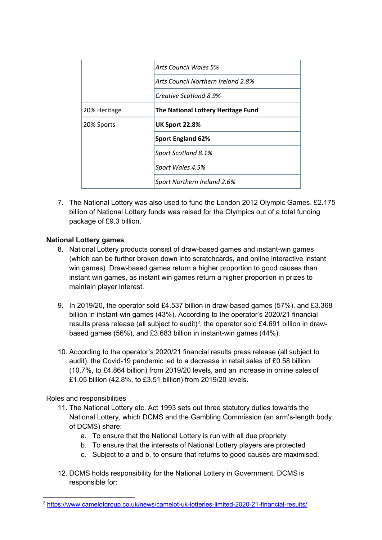|              | Arts Council Wales 5%              |
|--------------|------------------------------------|
|              | Arts Council Northern Ireland 2.8% |
|              | Creative Scotland 8.9%             |
| 20% Heritage | The National Lottery Heritage Fund |
| 20% Sports   | <b>UK Sport 22.8%</b>              |
|              | <b>Sport England 62%</b>           |
|              | Sport Scotland 8.1%                |
|              | Sport Wales 4.5%                   |
|              | Sport Northern Ireland 2.6%        |

7. The National Lottery was also used to fund the London 2012 Olympic Games. £2.175 billion of National Lottery funds was raised for the Olympics out of a total funding package of £9.3 billion.

# **National Lottery games**

- 8. National Lottery products consist of draw-based games and instant-win games (which can be further broken down into scratchcards, and online interactive instant win games). Draw-based games return a higher proportion to good causes than instant win games, as instant win games return a higher proportion in prizes to maintain player interest.
- 9. In 2019/20, the operator sold £4.537 billion in draw-based games (57%), and £3.368 billion in instant-win games (43%). According to the operator's 2020/21 financial results press release (all subject to audit)<sup>2</sup>, the operator sold £4.691 billion in drawbased games (56%), and £3.683 billion in instant-win games (44%).
- 10. According to the operator's 2020/21 financial results press release (all subject to audit), the Covid-19 pandemic led to a decrease in retail sales of £0.58 billion (10.7%, to £4.864 billion) from 2019/20 levels, and an increase in online sales of £1.05 billion (42.8%, to £3.51 billion) from 2019/20 levels.

# Roles and responsibilities

- 11. The National Lottery etc. Act 1993 sets out three statutory duties towards the National Lottery, which DCMS and the Gambling Commission (an arm's-length body of DCMS) share:
	- a. To ensure that the National Lottery is run with all due propriety
	- b. To ensure that the interests of National Lottery players are protected
	- c. Subject to a and b, to ensure that returns to good causes are maximised.
- 12. DCMS holds responsibility for the National Lottery in Government. DCMS is responsible for:

<sup>2</sup> <https://www.camelotgroup.co.uk/news/camelot-uk-lotteries-limited-2020-21-financial-results/>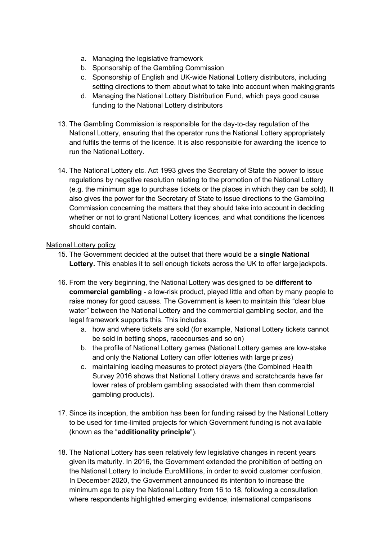- a. Managing the legislative framework
- b. Sponsorship of the Gambling Commission
- c. Sponsorship of English and UK-wide National Lottery distributors, including setting directions to them about what to take into account when making grants
- d. Managing the National Lottery Distribution Fund, which pays good cause funding to the National Lottery distributors
- 13. The Gambling Commission is responsible for the day-to-day regulation of the National Lottery, ensuring that the operator runs the National Lottery appropriately and fulfils the terms of the licence. It is also responsible for awarding the licence to run the National Lottery.
- 14. The National Lottery etc. Act 1993 gives the Secretary of State the power to issue regulations by negative resolution relating to the promotion of the National Lottery (e.g. the minimum age to purchase tickets or the places in which they can be sold). It also gives the power for the Secretary of State to issue directions to the Gambling Commission concerning the matters that they should take into account in deciding whether or not to grant National Lottery licences, and what conditions the licences should contain.

## National Lottery policy

- 15. The Government decided at the outset that there would be a **single National Lottery.** This enables it to sell enough tickets across the UK to offer large jackpots.
- 16. From the very beginning, the National Lottery was designed to be **different to commercial gambling** - a low-risk product, played little and often by many people to raise money for good causes. The Government is keen to maintain this "clear blue water" between the National Lottery and the commercial gambling sector, and the legal framework supports this. This includes:
	- a. how and where tickets are sold (for example, National Lottery tickets cannot be sold in betting shops, racecourses and so on)
	- b. the profile of National Lottery games (National Lottery games are low-stake and only the National Lottery can offer lotteries with large prizes)
	- c. maintaining leading measures to protect players (the Combined Health Survey 2016 shows that National Lottery draws and scratchcards have far lower rates of problem gambling associated with them than commercial gambling products).
- 17. Since its inception, the ambition has been for funding raised by the National Lottery to be used for time-limited projects for which Government funding is not available (known as the "**additionality principle**").
- 18. The National Lottery has seen relatively few legislative changes in recent years given its maturity. In 2016, the Government extended the prohibition of betting on the National Lottery to include EuroMillions, in order to avoid customer confusion. In December 2020, the Government announced its intention to increase the minimum age to play the National Lottery from 16 to 18, following a consultation where respondents highlighted emerging evidence, international comparisons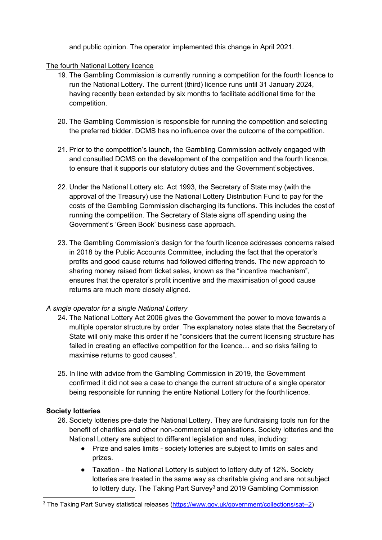and public opinion. The operator implemented this change in April 2021.

The fourth National Lottery licence

- 19. The Gambling Commission is currently running a competition for the fourth licence to run the National Lottery. The current (third) licence runs until 31 January 2024, having recently been extended by six months to facilitate additional time for the competition.
- 20. The Gambling Commission is responsible for running the competition and selecting the preferred bidder. DCMS has no influence over the outcome of the competition.
- 21. Prior to the competition's launch, the Gambling Commission actively engaged with and consulted DCMS on the development of the competition and the fourth licence, to ensure that it supports our statutory duties and the Government'sobjectives.
- 22. Under the National Lottery etc. Act 1993, the Secretary of State may (with the approval of the Treasury) use the National Lottery Distribution Fund to pay for the costs of the Gambling Commission discharging its functions. This includes the cost of running the competition. The Secretary of State signs off spending using the Government's 'Green Book' business case approach.
- 23. The Gambling Commission's design for the fourth licence addresses concerns raised in 2018 by the Public Accounts Committee, including the fact that the operator's profits and good cause returns had followed differing trends. The new approach to sharing money raised from ticket sales, known as the "incentive mechanism", ensures that the operator's profit incentive and the maximisation of good cause returns are much more closely aligned.

# *A single operator for a single National Lottery*

- 24. The National Lottery Act 2006 gives the Government the power to move towards a multiple operator structure by order. The explanatory notes state that the Secretary of State will only make this order if he "considers that the current licensing structure has failed in creating an effective competition for the licence… and so risks failing to maximise returns to good causes".
- 25. In line with advice from the Gambling Commission in 2019, the Government confirmed it did not see a case to change the current structure of a single operator being responsible for running the entire National Lottery for the fourth licence.

# **Society lotteries**

- 26. Society lotteries pre-date the National Lottery. They are fundraising tools run for the benefit of charities and other non-commercial organisations. Society lotteries and the National Lottery are subject to different legislation and rules, including:
	- Prize and sales limits society lotteries are subject to limits on sales and prizes.
	- Taxation the National Lottery is subject to lottery duty of 12%. Society lotteries are treated in the same way as charitable giving and are not subject to lottery duty. The Taking Part Survey<sup>3</sup> and 2019 Gambling Commission

<sup>3</sup> The Taking Part Survey statistical releases [\(https://www.gov.uk/government/collections/sat--2](https://www.gov.uk/government/collections/sat--2))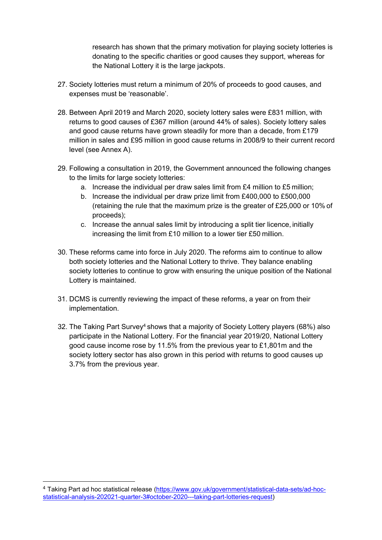research has shown that the primary motivation for playing society lotteries is donating to the specific charities or good causes they support, whereas for the National Lottery it is the large jackpots.

- 27. Society lotteries must return a minimum of 20% of proceeds to good causes, and expenses must be 'reasonable'.
- 28. Between April 2019 and March 2020, society lottery sales were £831 million, with returns to good causes of £367 million (around 44% of sales). Society lottery sales and good cause returns have grown steadily for more than a decade, from  $£179$ million in sales and £95 million in good cause returns in 2008/9 to their current record level (see Annex A).
- 29. Following a consultation in 2019, the Government announced the following changes to the limits for large society lotteries:
	- a. Increase the individual per draw sales limit from £4 million to £5 million;
	- b. Increase the individual per draw prize limit from £400,000 to £500,000 (retaining the rule that the maximum prize is the greater of £25,000 or 10% of proceeds);
	- c. Increase the annual sales limit by introducing a split tier licence, initially increasing the limit from £10 million to a lower tier £50 million.
- 30. These reforms came into force in July 2020. The reforms aim to continue to allow both society lotteries and the National Lottery to thrive. They balance enabling society lotteries to continue to grow with ensuring the unique position of the National Lottery is maintained.
- 31. DCMS is currently reviewing the impact of these reforms, a year on from their implementation.
- 32. The Taking Part Survey<sup>4</sup> shows that a majority of Society Lottery players (68%) also participate in the National Lottery. For the financial year 2019/20, National Lottery good cause income rose by 11.5% from the previous year to £1,801m and the society lottery sector has also grown in this period with returns to good causes up 3.7% from the previous year.

<sup>4</sup> Taking Part ad hoc statistical release [\(https://www.gov.uk/government/statistical-data-sets/ad-hoc](https://www.gov.uk/government/statistical-data-sets/ad-hoc-statistical-analysis-202021-quarter-3#october-2020---taking-part-lotteries-request)[statistical-analysis-202021-quarter-3#october-2020---taking-part-lotteries-request\)](https://www.gov.uk/government/statistical-data-sets/ad-hoc-statistical-analysis-202021-quarter-3#october-2020---taking-part-lotteries-request)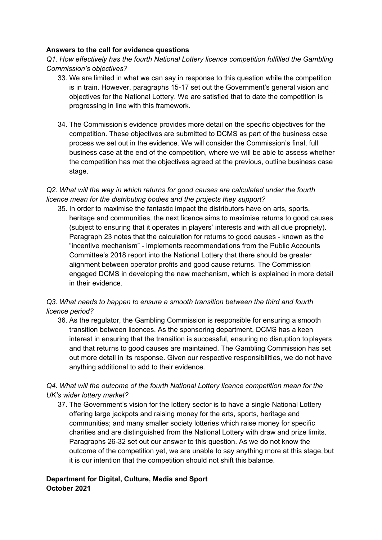## **Answers to the call for evidence questions**

*Q1. How effectively has the fourth National Lottery licence competition fulfilled the Gambling Commission's objectives?*

- 33. We are limited in what we can say in response to this question while the competition is in train. However, paragraphs 15-17 set out the Government's general vision and objectives for the National Lottery. We are satisfied that to date the competition is progressing in line with this framework.
- 34. The Commission's evidence provides more detail on the specific objectives for the competition. These objectives are submitted to DCMS as part of the business case process we set out in the evidence. We will consider the Commission's final, full business case at the end of the competition, where we will be able to assess whether the competition has met the objectives agreed at the previous, outline business case stage.

# *Q2. What will the way in which returns for good causes are calculated under the fourth licence mean for the distributing bodies and the projects they support?*

35. In order to maximise the fantastic impact the distributors have on arts, sports, heritage and communities, the next licence aims to maximise returns to good causes (subject to ensuring that it operates in players' interests and with all due propriety). Paragraph 23 notes that the calculation for returns to good causes - known as the "incentive mechanism" - implements recommendations from the Public Accounts Committee's 2018 report into the National Lottery that there should be greater alignment between operator profits and good cause returns. The Commission engaged DCMS in developing the new mechanism, which is explained in more detail in their evidence.

# *Q3. What needs to happen to ensure a smooth transition between the third and fourth licence period?*

36. As the regulator, the Gambling Commission is responsible for ensuring a smooth transition between licences. As the sponsoring department, DCMS has a keen interest in ensuring that the transition is successful, ensuring no disruption to players and that returns to good causes are maintained. The Gambling Commission has set out more detail in its response. Given our respective responsibilities, we do not have anything additional to add to their evidence.

# *Q4. What will the outcome of the fourth National Lottery licence competition mean for the UK's wider lottery market?*

37. The Government's vision for the lottery sector is to have a single National Lottery offering large jackpots and raising money for the arts, sports, heritage and communities; and many smaller society lotteries which raise money for specific charities and are distinguished from the National Lottery with draw and prize limits. Paragraphs 26-32 set out our answer to this question. As we do not know the outcome of the competition yet, we are unable to say anything more at this stage, but it is our intention that the competition should not shift this balance.

# **Department for Digital, Culture, Media and Sport October 2021**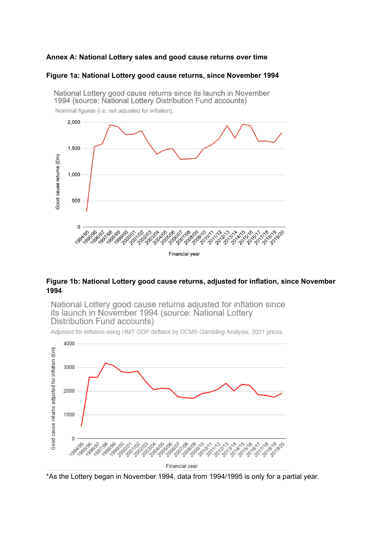### **Annex A: National Lottery sales and good cause returns over time**

#### **Figure 1a: National Lottery good cause returns, since November 1994**



**Figure 1b: National Lottery good cause returns, adjusted for inflation, since November 1994**

National Lottery good cause returns adjusted for inflation since its launch in November 1994 (source: National Lottery Distribution Fund accounts)

Adjusted for inflation using HMT GDP deflator by DCMS Gambling Analysis, 2021 prices.



\*As the Lottery began in November 1994, data from 1994/1995 is only for a partial year.